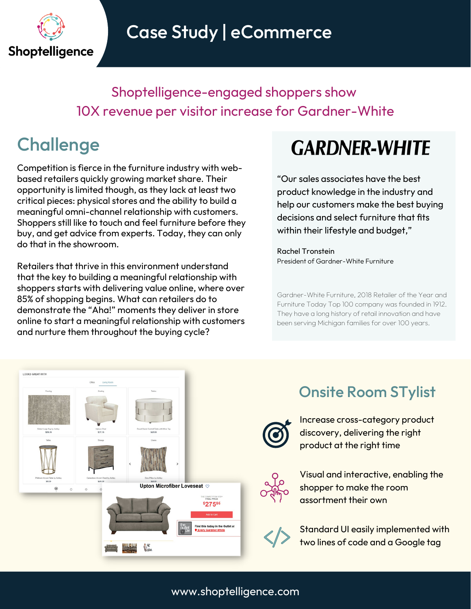

Case Study | eCommerce

Shoptelligence-engaged shoppers show 10X revenue per visitor increase for Gardner-White

### **Challenge**

Competition is fierce in the furniture industry with webbased retailers quickly growing market share. Their opportunity is limited though, as they lack at least two critical pieces: physical stores and the ability to build a meaningful omni-channel relationship with customers. Shoppers still like to touch and feel furniture before they buy, and get advice from experts. Today, they can only do that in the showroom.

Retailers that thrive in this environment understand that the key to building a meaningful relationship with shoppers starts with delivering value online, where over 85% of shopping begins. What can retailers do to demonstrate the "Aha!" moments they deliver in store online to start a meaningful relationship with customers and nurture them throughout the buying cycle?

# **GARDNER-WHITE**

"Our sales associates have the best product knowledge in the industry and help our customers make the best buying decisions and select furniture that fits within their lifestyle and budget,"

Rachel Tronstein President of Gardner-White Furniture

Gardner-White Furniture, 2018 Retailer of the Year and Furniture Today Top 100 company was founded in 1912. They have a long history of retail innovation and have been serving Michigan families for over 100 years.